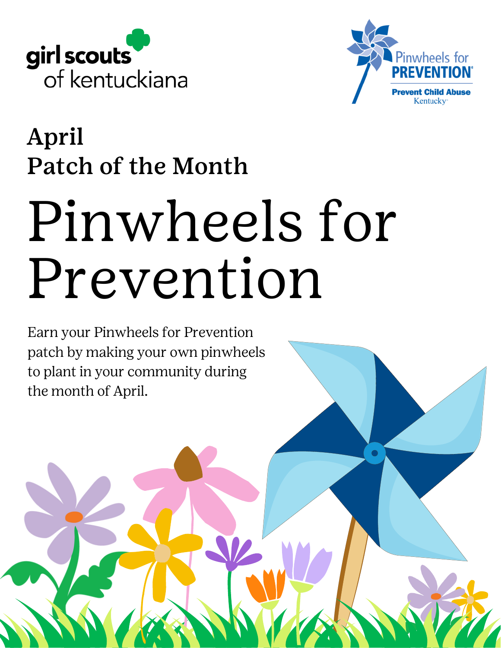



 $\bullet$ 

### April Patch of the Month

# Pinwheels for Prevention

Earn your Pinwheels for Prevention patch by making your own pinwheels to plant in your community during the month of April.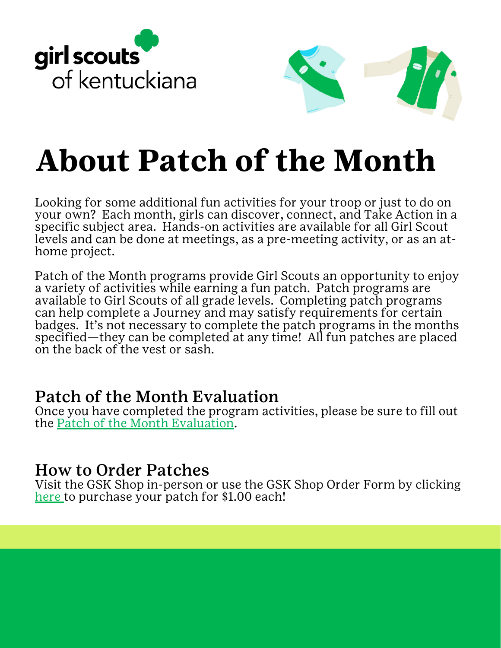



# **About Patch of the Month**

Looking for some additional fun activities for your troop or just to do on your own? Each month, girls can discover, connect, and Take Action in a specific subject area. Hands-on activities are available for all Girl Scout levels and can be done at meetings, as a pre-meeting activity, or as an athome project.

Patch of the Month programs provide Girl Scouts an opportunity to enjoy a variety of activities while earning a fun patch. Patch programs are available to Girl Scouts of all grade levels. Completing patch programs can help complete a Journey and may satisfy requirements for certain badges. It's not necessary to complete the patch programs in the months specified—they can be completed at any time! All fun patches are placed on the back of the vest or sash.

#### Patch of the Month Evaluation

Once you have completed the program activities, please be sure to fill out the Patch of the Month [Evaluation.](https://form.jotform.com/gskentuckiana/patchofthemonth)

#### How to Order Patches

Visit the GSK Shop in-person or use the GSK Shop [Order](https://www.jotform.com/gskentuckiana/ShopOrderForm) Form by clicking [here](https://www.jotform.com/gskentuckiana/ShopOrderForm) to purchase your patch for \$1.00 each!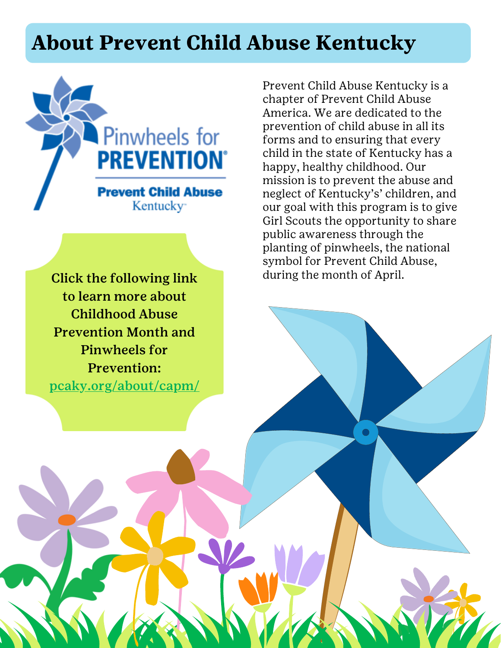#### **About Prevent Child Abuse Kentucky**



Click the following link to learn more about Childhood Abuse Prevention Month and Pinwheels for Prevention: [pcaky.org/about/capm/](http://pcaky.org/about/capm/) Prevent Child Abuse Kentucky is a chapter of Prevent Child Abuse America. We are dedicated to the prevention of child abuse in all its forms and to ensuring that every child in the state of Kentucky has a happy, healthy childhood. Our mission is to prevent the abuse and neglect of Kentucky's' children, and our goal with this program is to give Girl Scouts the opportunity to share public awareness through the planting of pinwheels, the national symbol for Prevent Child Abuse, during the month of April.

 $\bigcap$